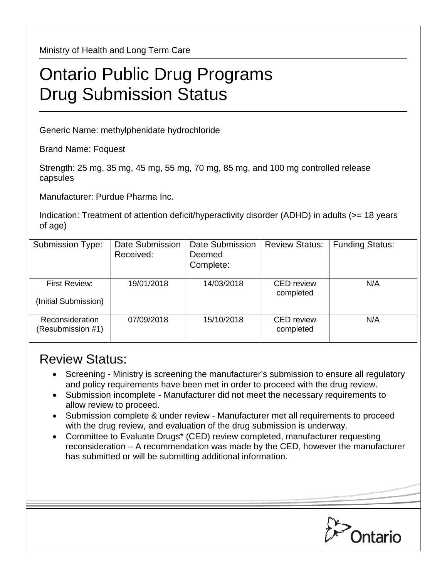Ministry of Health and Long Term Care

## Ontario Public Drug Programs Drug Submission Status

Generic Name: methylphenidate hydrochloride

Brand Name: Foquest

Strength: 25 mg, 35 mg, 45 mg, 55 mg, 70 mg, 85 mg, and 100 mg controlled release capsules

Manufacturer: Purdue Pharma Inc.

Indication: Treatment of attention deficit/hyperactivity disorder (ADHD) in adults (>= 18 years of age)

| Submission Type:                      | <b>Date Submission</b><br>Received: | Date Submission<br>Deemed<br>Complete: | <b>Review Status:</b>          | <b>Funding Status:</b> |
|---------------------------------------|-------------------------------------|----------------------------------------|--------------------------------|------------------------|
| First Review:<br>(Initial Submission) | 19/01/2018                          | 14/03/2018                             | <b>CED</b> review<br>completed | N/A                    |
| Reconsideration<br>(Resubmission #1)  | 07/09/2018                          | 15/10/2018                             | <b>CED</b> review<br>completed | N/A                    |

## Review Status:

- Screening Ministry is screening the manufacturer's submission to ensure all regulatory and policy requirements have been met in order to proceed with the drug review.
- Submission incomplete Manufacturer did not meet the necessary requirements to allow review to proceed.
- Submission complete & under review Manufacturer met all requirements to proceed with the drug review, and evaluation of the drug submission is underway.
- Committee to Evaluate Drugs\* (CED) review completed, manufacturer requesting reconsideration – A recommendation was made by the CED, however the manufacturer has submitted or will be submitting additional information.